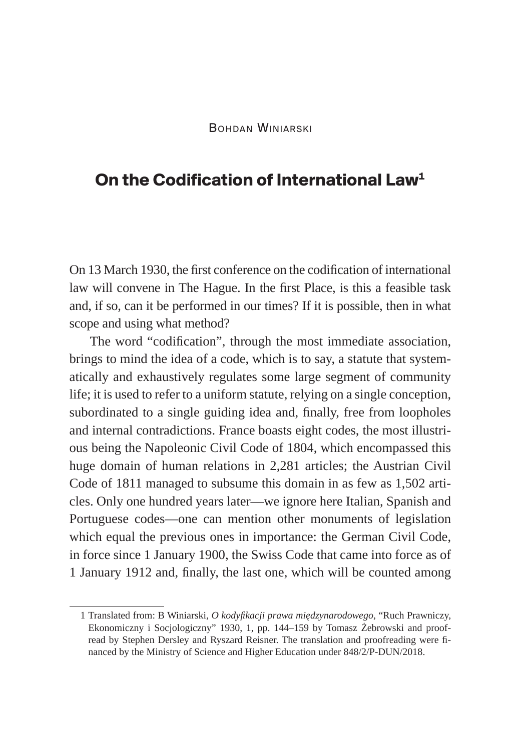## **On the Codification of International Law1**

On 13 March 1930, the first conference on the codification of international law will convene in The Hague. In the first Place, is this a feasible task and, if so, can it be performed in our times? If it is possible, then in what scope and using what method?

The word "codification", through the most immediate association, brings to mind the idea of a code, which is to say, a statute that systematically and exhaustively regulates some large segment of community life; it is used to refer to a uniform statute, relying on a single conception, subordinated to a single guiding idea and, finally, free from loopholes and internal contradictions. France boasts eight codes, the most illustrious being the Napoleonic Civil Code of 1804, which encompassed this huge domain of human relations in 2,281 articles; the Austrian Civil Code of 1811 managed to subsume this domain in as few as 1,502 articles. Only one hundred years later—we ignore here Italian, Spanish and Portuguese codes—one can mention other monuments of legislation which equal the previous ones in importance: the German Civil Code, in force since 1 January 1900, the Swiss Code that came into force as of 1 January 1912 and, finally, the last one, which will be counted among

<sup>1</sup> Translated from: B Winiarski, *O kodyfikacji prawa międzynarodowego*, "Ruch Prawniczy, Ekonomiczny i Socjologiczny" 1930, 1, pp. 144–159 by Tomasz Żebrowski and proofread by Stephen Dersley and Ryszard Reisner. The translation and proofreading were financed by the Ministry of Science and Higher Education under 848/2/P-DUN/2018.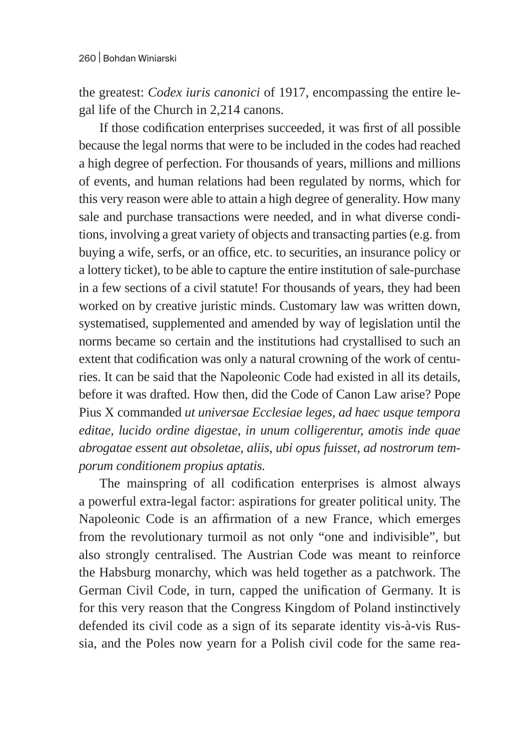the greatest: *Codex iuris canonici* of 1917, encompassing the entire legal life of the Church in 2,214 canons.

If those codification enterprises succeeded, it was first of all possible because the legal norms that were to be included in the codes had reached a high degree of perfection. For thousands of years, millions and millions of events, and human relations had been regulated by norms, which for this very reason were able to attain a high degree of generality. How many sale and purchase transactions were needed, and in what diverse conditions, involving a great variety of objects and transacting parties (e.g. from buying a wife, serfs, or an office, etc. to securities, an insurance policy or a lottery ticket), to be able to capture the entire institution of sale-purchase in a few sections of a civil statute! For thousands of years, they had been worked on by creative juristic minds. Customary law was written down, systematised, supplemented and amended by way of legislation until the norms became so certain and the institutions had crystallised to such an extent that codification was only a natural crowning of the work of centuries. It can be said that the Napoleonic Code had existed in all its details, before it was drafted. How then, did the Code of Canon Law arise? Pope Pius X commanded *ut universae Ecclesiae leges, ad haec usque tempora editae, lucido ordine digestae, in unum colligerentur, amotis inde quae abrogatae essent aut obsoletae, aliis, ubi opus fuisset, ad nostrorum temporum conditionem propius aptatis.*

The mainspring of all codification enterprises is almost always a powerful extra-legal factor: aspirations for greater political unity. The Napoleonic Code is an affirmation of a new France, which emerges from the revolutionary turmoil as not only "one and indivisible", but also strongly centralised. The Austrian Code was meant to reinforce the Habsburg monarchy, which was held together as a patchwork. The German Civil Code, in turn, capped the unification of Germany. It is for this very reason that the Congress Kingdom of Poland instinctively defended its civil code as a sign of its separate identity vis-à-vis Russia, and the Poles now yearn for a Polish civil code for the same rea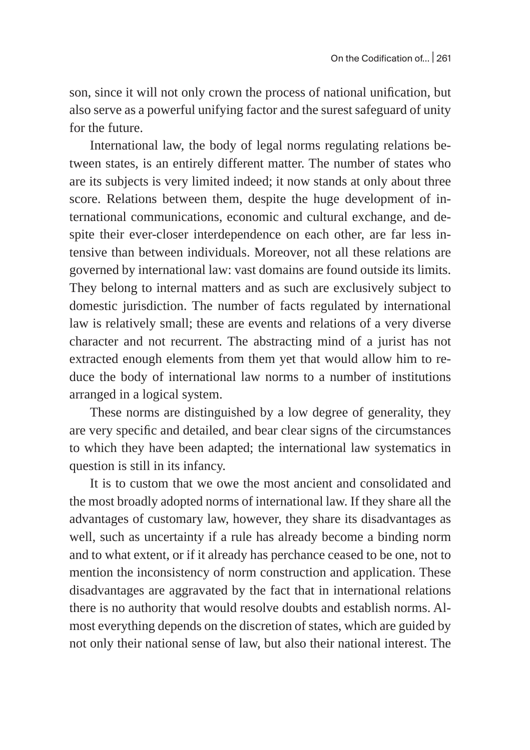son, since it will not only crown the process of national unification, but also serve as a powerful unifying factor and the surest safeguard of unity for the future.

International law, the body of legal norms regulating relations between states, is an entirely different matter. The number of states who are its subjects is very limited indeed; it now stands at only about three score. Relations between them, despite the huge development of international communications, economic and cultural exchange, and despite their ever-closer interdependence on each other, are far less intensive than between individuals. Moreover, not all these relations are governed by international law: vast domains are found outside its limits. They belong to internal matters and as such are exclusively subject to domestic jurisdiction. The number of facts regulated by international law is relatively small; these are events and relations of a very diverse character and not recurrent. The abstracting mind of a jurist has not extracted enough elements from them yet that would allow him to reduce the body of international law norms to a number of institutions arranged in a logical system.

These norms are distinguished by a low degree of generality, they are very specific and detailed, and bear clear signs of the circumstances to which they have been adapted; the international law systematics in question is still in its infancy.

It is to custom that we owe the most ancient and consolidated and the most broadly adopted norms of international law. If they share all the advantages of customary law, however, they share its disadvantages as well, such as uncertainty if a rule has already become a binding norm and to what extent, or if it already has perchance ceased to be one, not to mention the inconsistency of norm construction and application. These disadvantages are aggravated by the fact that in international relations there is no authority that would resolve doubts and establish norms. Almost everything depends on the discretion of states, which are guided by not only their national sense of law, but also their national interest. The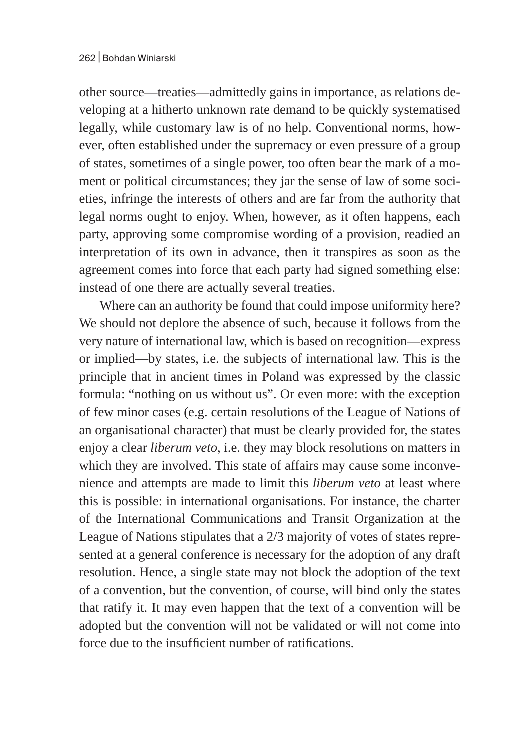other source—treaties—admittedly gains in importance, as relations developing at a hitherto unknown rate demand to be quickly systematised legally, while customary law is of no help. Conventional norms, however, often established under the supremacy or even pressure of a group of states, sometimes of a single power, too often bear the mark of a moment or political circumstances; they jar the sense of law of some societies, infringe the interests of others and are far from the authority that legal norms ought to enjoy. When, however, as it often happens, each party, approving some compromise wording of a provision, readied an interpretation of its own in advance, then it transpires as soon as the agreement comes into force that each party had signed something else: instead of one there are actually several treaties.

Where can an authority be found that could impose uniformity here? We should not deplore the absence of such, because it follows from the very nature of international law, which is based on recognition—express or implied—by states, i.e. the subjects of international law. This is the principle that in ancient times in Poland was expressed by the classic formula: "nothing on us without us". Or even more: with the exception of few minor cases (e.g. certain resolutions of the League of Nations of an organisational character) that must be clearly provided for, the states enjoy a clear *liberum veto*, i.e. they may block resolutions on matters in which they are involved. This state of affairs may cause some inconvenience and attempts are made to limit this *liberum veto* at least where this is possible: in international organisations. For instance, the charter of the International Communications and Transit Organization at the League of Nations stipulates that a 2/3 majority of votes of states represented at a general conference is necessary for the adoption of any draft resolution. Hence, a single state may not block the adoption of the text of a convention, but the convention, of course, will bind only the states that ratify it. It may even happen that the text of a convention will be adopted but the convention will not be validated or will not come into force due to the insufficient number of ratifications.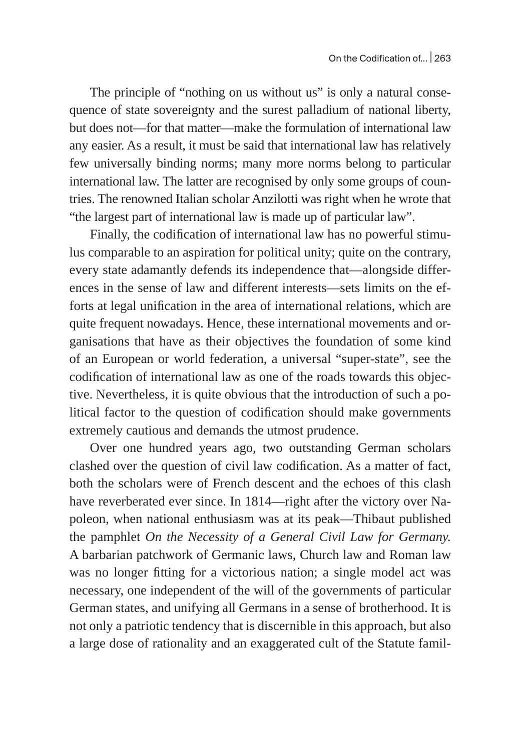The principle of "nothing on us without us" is only a natural consequence of state sovereignty and the surest palladium of national liberty, but does not—for that matter—make the formulation of international law any easier. As a result, it must be said that international law has relatively few universally binding norms; many more norms belong to particular international law. The latter are recognised by only some groups of countries. The renowned Italian scholar Anzilotti was right when he wrote that "the largest part of international law is made up of particular law".

Finally, the codification of international law has no powerful stimulus comparable to an aspiration for political unity; quite on the contrary, every state adamantly defends its independence that—alongside differences in the sense of law and different interests—sets limits on the efforts at legal unification in the area of international relations, which are quite frequent nowadays. Hence, these international movements and organisations that have as their objectives the foundation of some kind of an European or world federation, a universal "super-state", see the codification of international law as one of the roads towards this objective. Nevertheless, it is quite obvious that the introduction of such a political factor to the question of codification should make governments extremely cautious and demands the utmost prudence.

Over one hundred years ago, two outstanding German scholars clashed over the question of civil law codification. As a matter of fact, both the scholars were of French descent and the echoes of this clash have reverberated ever since. In 1814—right after the victory over Napoleon, when national enthusiasm was at its peak—Thibaut published the pamphlet *On the Necessity of a General Civil Law for Germany.* A barbarian patchwork of Germanic laws, Church law and Roman law was no longer fitting for a victorious nation; a single model act was necessary, one independent of the will of the governments of particular German states, and unifying all Germans in a sense of brotherhood. It is not only a patriotic tendency that is discernible in this approach, but also a large dose of rationality and an exaggerated cult of the Statute famil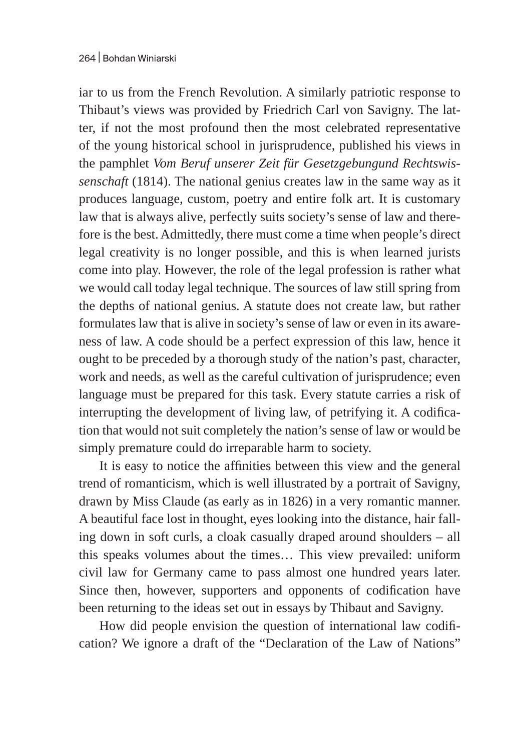iar to us from the French Revolution. A similarly patriotic response to Thibaut's views was provided by Friedrich Carl von Savigny. The latter, if not the most profound then the most celebrated representative of the young historical school in jurisprudence, published his views in the pamphlet *Vom Beruf unserer Zeit für Gesetzgebungund Rechtswissenschaft* (1814). The national genius creates law in the same way as it produces language, custom, poetry and entire folk art. It is customary law that is always alive, perfectly suits society's sense of law and therefore is the best. Admittedly, there must come a time when people's direct legal creativity is no longer possible, and this is when learned jurists come into play. However, the role of the legal profession is rather what we would call today legal technique. The sources of law still spring from the depths of national genius. A statute does not create law, but rather formulates law that is alive in society's sense of law or even in its awareness of law. A code should be a perfect expression of this law, hence it ought to be preceded by a thorough study of the nation's past, character, work and needs, as well as the careful cultivation of jurisprudence; even language must be prepared for this task. Every statute carries a risk of interrupting the development of living law, of petrifying it. A codification that would not suit completely the nation's sense of law or would be simply premature could do irreparable harm to society.

It is easy to notice the affinities between this view and the general trend of romanticism, which is well illustrated by a portrait of Savigny, drawn by Miss Claude (as early as in 1826) in a very romantic manner. A beautiful face lost in thought, eyes looking into the distance, hair falling down in soft curls, a cloak casually draped around shoulders – all this speaks volumes about the times… This view prevailed: uniform civil law for Germany came to pass almost one hundred years later. Since then, however, supporters and opponents of codification have been returning to the ideas set out in essays by Thibaut and Savigny.

How did people envision the question of international law codification? We ignore a draft of the "Declaration of the Law of Nations"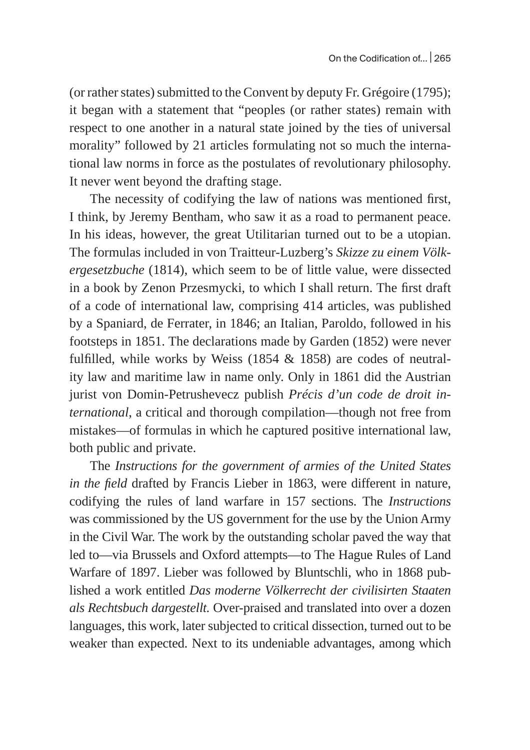(or rather states) submitted to the Convent by deputy Fr. Grégoire (1795); it began with a statement that "peoples (or rather states) remain with respect to one another in a natural state joined by the ties of universal morality" followed by 21 articles formulating not so much the international law norms in force as the postulates of revolutionary philosophy. It never went beyond the drafting stage.

The necessity of codifying the law of nations was mentioned first, I think, by Jeremy Bentham, who saw it as a road to permanent peace. In his ideas, however, the great Utilitarian turned out to be a utopian. The formulas included in von Traitteur-Luzberg's *Skizze zu einem Völkergesetzbuche* (1814), which seem to be of little value, were dissected in a book by Zenon Przesmycki, to which I shall return. The first draft of a code of international law, comprising 414 articles, was published by a Spaniard, de Ferrater, in 1846; an Italian, Paroldo, followed in his footsteps in 1851. The declarations made by Garden (1852) were never fulfilled, while works by Weiss (1854 & 1858) are codes of neutrality law and maritime law in name only. Only in 1861 did the Austrian jurist von Domin-Petrushevecz publish *Précis d'un code de droit international*, a critical and thorough compilation—though not free from mistakes—of formulas in which he captured positive international law, both public and private.

The *Instructions for the government of armies of the United States in the field* drafted by Francis Lieber in 1863, were different in nature, codifying the rules of land warfare in 157 sections. The *Instructions* was commissioned by the US government for the use by the Union Army in the Civil War. The work by the outstanding scholar paved the way that led to—via Brussels and Oxford attempts—to The Hague Rules of Land Warfare of 1897. Lieber was followed by Bluntschli, who in 1868 published a work entitled *Das moderne Völkerrecht der civilisirten Staaten als Rechtsbuch dargestellt.* Over-praised and translated into over a dozen languages, this work, later subjected to critical dissection, turned out to be weaker than expected. Next to its undeniable advantages, among which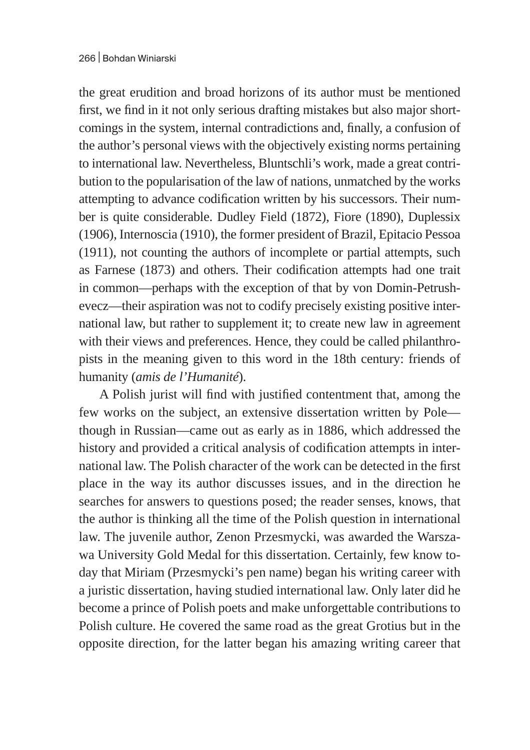the great erudition and broad horizons of its author must be mentioned first, we find in it not only serious drafting mistakes but also major shortcomings in the system, internal contradictions and, finally, a confusion of the author's personal views with the objectively existing norms pertaining to international law. Nevertheless, Bluntschli's work, made a great contribution to the popularisation of the law of nations, unmatched by the works attempting to advance codification written by his successors. Their number is quite considerable. Dudley Field (1872), Fiore (1890), Duplessix (1906), Internoscia (1910), the former president of Brazil, Epitacio Pessoa (1911), not counting the authors of incomplete or partial attempts, such as Farnese (1873) and others. Their codification attempts had one trait in common—perhaps with the exception of that by von Domin-Petrushevecz—their aspiration was not to codify precisely existing positive international law, but rather to supplement it; to create new law in agreement with their views and preferences. Hence, they could be called philanthropists in the meaning given to this word in the 18th century: friends of humanity (*amis de l'Humanité*).

A Polish jurist will find with justified contentment that, among the few works on the subject, an extensive dissertation written by Pole though in Russian—came out as early as in 1886, which addressed the history and provided a critical analysis of codification attempts in international law. The Polish character of the work can be detected in the first place in the way its author discusses issues, and in the direction he searches for answers to questions posed; the reader senses, knows, that the author is thinking all the time of the Polish question in international law. The juvenile author, Zenon Przesmycki, was awarded the Warszawa University Gold Medal for this dissertation. Certainly, few know today that Miriam (Przesmycki's pen name) began his writing career with a juristic dissertation, having studied international law. Only later did he become a prince of Polish poets and make unforgettable contributions to Polish culture. He covered the same road as the great Grotius but in the opposite direction, for the latter began his amazing writing career that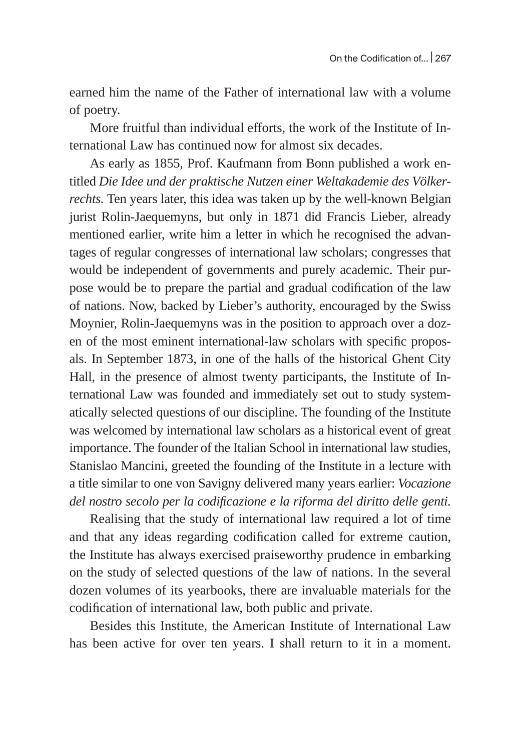earned him the name of the Father of international law with a volume of poetry.

More fruitful than individual efforts, the work of the Institute of International Law has continued now for almost six decades.

As early as 1855, Prof. Kaufmann from Bonn published a work entitled *Die Idee und der praktische Nutzen einer Weltakademie des Völkerrechts.* Ten years later, this idea was taken up by the well-known Belgian jurist Rolin-Jaequemyns, but only in 1871 did Francis Lieber, already mentioned earlier, write him a letter in which he recognised the advantages of regular congresses of international law scholars; congresses that would be independent of governments and purely academic. Their purpose would be to prepare the partial and gradual codification of the law of nations. Now, backed by Lieber's authority, encouraged by the Swiss Moynier, Rolin-Jaequemyns was in the position to approach over a dozen of the most eminent international-law scholars with specific proposals. In September 1873, in one of the halls of the historical Ghent City Hall, in the presence of almost twenty participants, the Institute of International Law was founded and immediately set out to study systematically selected questions of our discipline. The founding of the Institute was welcomed by international law scholars as a historical event of great importance. The founder of the Italian School in international law studies, Stanislao Mancini, greeted the founding of the Institute in a lecture with a title similar to one von Savigny delivered many years earlier: *Vocazione del nostro secolo per la codificazione e la riforma del diritto delle genti.*

Realising that the study of international law required a lot of time and that any ideas regarding codification called for extreme caution, the Institute has always exercised praiseworthy prudence in embarking on the study of selected questions of the law of nations. In the several dozen volumes of its yearbooks, there are invaluable materials for the codification of international law, both public and private.

Besides this Institute, the American Institute of International Law has been active for over ten years. I shall return to it in a moment.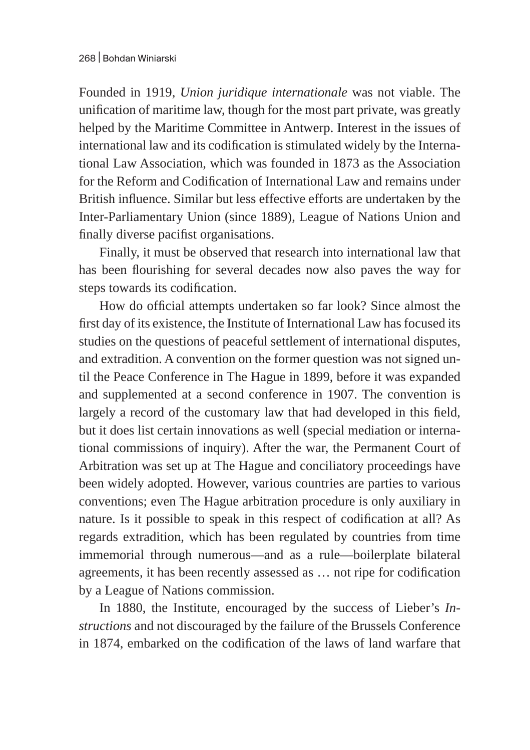Founded in 1919, *Union juridique internationale* was not viable. The unification of maritime law, though for the most part private, was greatly helped by the Maritime Committee in Antwerp. Interest in the issues of international law and its codification is stimulated widely by the International Law Association, which was founded in 1873 as the Association for the Reform and Codification of International Law and remains under British influence. Similar but less effective efforts are undertaken by the Inter-Parliamentary Union (since 1889), League of Nations Union and finally diverse pacifist organisations.

Finally, it must be observed that research into international law that has been flourishing for several decades now also paves the way for steps towards its codification.

How do official attempts undertaken so far look? Since almost the first day of its existence, the Institute of International Law has focused its studies on the questions of peaceful settlement of international disputes, and extradition. A convention on the former question was not signed until the Peace Conference in The Hague in 1899, before it was expanded and supplemented at a second conference in 1907. The convention is largely a record of the customary law that had developed in this field, but it does list certain innovations as well (special mediation or international commissions of inquiry). After the war, the Permanent Court of Arbitration was set up at The Hague and conciliatory proceedings have been widely adopted. However, various countries are parties to various conventions; even The Hague arbitration procedure is only auxiliary in nature. Is it possible to speak in this respect of codification at all? As regards extradition, which has been regulated by countries from time immemorial through numerous—and as a rule—boilerplate bilateral agreements, it has been recently assessed as … not ripe for codification by a League of Nations commission.

In 1880, the Institute, encouraged by the success of Lieber's *Instructions* and not discouraged by the failure of the Brussels Conference in 1874, embarked on the codification of the laws of land warfare that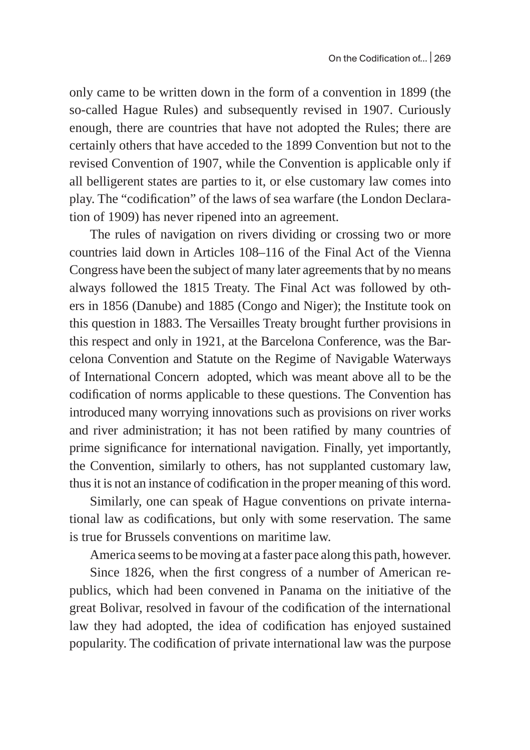only came to be written down in the form of a convention in 1899 (the so-called Hague Rules) and subsequently revised in 1907. Curiously enough, there are countries that have not adopted the Rules; there are certainly others that have acceded to the 1899 Convention but not to the revised Convention of 1907, while the Convention is applicable only if all belligerent states are parties to it, or else customary law comes into play. The "codification" of the laws of sea warfare (the London Declaration of 1909) has never ripened into an agreement.

The rules of navigation on rivers dividing or crossing two or more countries laid down in Articles 108–116 of the Final Act of the Vienna Congress have been the subject of many later agreements that by no means always followed the 1815 Treaty. The Final Act was followed by others in 1856 (Danube) and 1885 (Congo and Niger); the Institute took on this question in 1883. The Versailles Treaty brought further provisions in this respect and only in 1921, at the Barcelona Conference, was the Barcelona Convention and Statute on the Regime of Navigable Waterways of International Concern adopted, which was meant above all to be the codification of norms applicable to these questions. The Convention has introduced many worrying innovations such as provisions on river works and river administration; it has not been ratified by many countries of prime significance for international navigation. Finally, yet importantly, the Convention, similarly to others, has not supplanted customary law, thus it is not an instance of codification in the proper meaning of this word.

Similarly, one can speak of Hague conventions on private international law as codifications, but only with some reservation. The same is true for Brussels conventions on maritime law.

America seems to be moving at a faster pace along this path, however.

Since 1826, when the first congress of a number of American republics, which had been convened in Panama on the initiative of the great Bolivar, resolved in favour of the codification of the international law they had adopted, the idea of codification has enjoyed sustained popularity. The codification of private international law was the purpose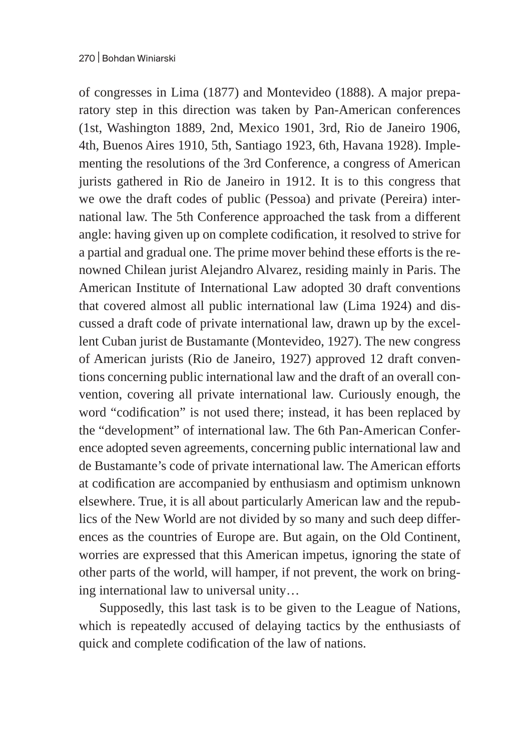of congresses in Lima (1877) and Montevideo (1888). A major preparatory step in this direction was taken by Pan-American conferences (1st, Washington 1889, 2nd, Mexico 1901, 3rd, Rio de Janeiro 1906, 4th, Buenos Aires 1910, 5th, Santiago 1923, 6th, Havana 1928). Implementing the resolutions of the 3rd Conference, a congress of American jurists gathered in Rio de Janeiro in 1912. It is to this congress that we owe the draft codes of public (Pessoa) and private (Pereira) international law. The 5th Conference approached the task from a different angle: having given up on complete codification, it resolved to strive for a partial and gradual one. The prime mover behind these efforts is the renowned Chilean jurist Alejandro Alvarez, residing mainly in Paris. The American Institute of International Law adopted 30 draft conventions that covered almost all public international law (Lima 1924) and discussed a draft code of private international law, drawn up by the excellent Cuban jurist de Bustamante (Montevideo, 1927). The new congress of American jurists (Rio de Janeiro, 1927) approved 12 draft conventions concerning public international law and the draft of an overall convention, covering all private international law. Curiously enough, the word "codification" is not used there; instead, it has been replaced by the "development" of international law. The 6th Pan-American Conference adopted seven agreements, concerning public international law and de Bustamante's code of private international law. The American efforts at codification are accompanied by enthusiasm and optimism unknown elsewhere. True, it is all about particularly American law and the republics of the New World are not divided by so many and such deep differences as the countries of Europe are. But again, on the Old Continent, worries are expressed that this American impetus, ignoring the state of other parts of the world, will hamper, if not prevent, the work on bringing international law to universal unity…

Supposedly, this last task is to be given to the League of Nations, which is repeatedly accused of delaying tactics by the enthusiasts of quick and complete codification of the law of nations.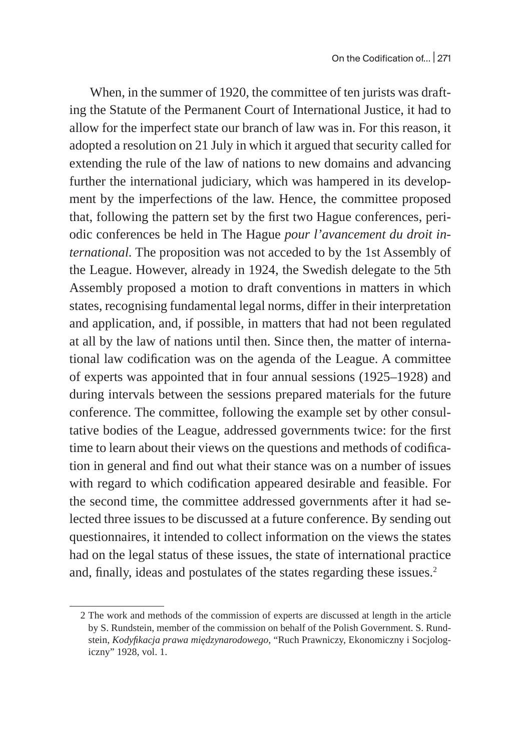When, in the summer of 1920, the committee of ten jurists was drafting the Statute of the Permanent Court of International Justice, it had to allow for the imperfect state our branch of law was in. For this reason, it adopted a resolution on 21 July in which it argued that security called for extending the rule of the law of nations to new domains and advancing further the international judiciary, which was hampered in its development by the imperfections of the law. Hence, the committee proposed that, following the pattern set by the first two Hague conferences, periodic conferences be held in The Hague *pour l'avancement du droit international.* The proposition was not acceded to by the 1st Assembly of the League. However, already in 1924, the Swedish delegate to the 5th Assembly proposed a motion to draft conventions in matters in which states, recognising fundamental legal norms, differ in their interpretation and application, and, if possible, in matters that had not been regulated at all by the law of nations until then. Since then, the matter of international law codification was on the agenda of the League. A committee of experts was appointed that in four annual sessions (1925–1928) and during intervals between the sessions prepared materials for the future conference. The committee, following the example set by other consultative bodies of the League, addressed governments twice: for the first time to learn about their views on the questions and methods of codification in general and find out what their stance was on a number of issues with regard to which codification appeared desirable and feasible. For the second time, the committee addressed governments after it had selected three issues to be discussed at a future conference. By sending out questionnaires, it intended to collect information on the views the states had on the legal status of these issues, the state of international practice and, finally, ideas and postulates of the states regarding these issues.<sup>2</sup>

<sup>2</sup> The work and methods of the commission of experts are discussed at length in the article by S. Rundstein, member of the commission on behalf of the Polish Government. S. Rundstein, *Kodyfikacja prawa międzynarodowego*, "Ruch Prawniczy, Ekonomiczny i Socjologiczny" 1928, vol. 1.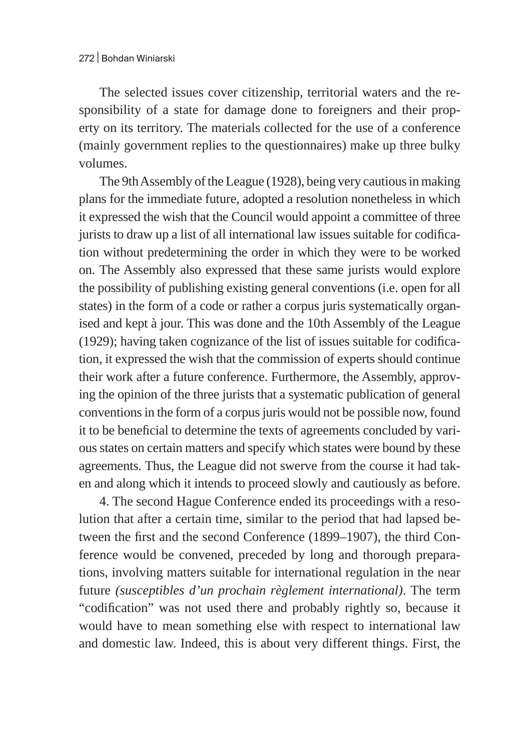The selected issues cover citizenship, territorial waters and the responsibility of a state for damage done to foreigners and their property on its territory. The materials collected for the use of a conference (mainly government replies to the questionnaires) make up three bulky volumes.

The 9th Assembly of the League (1928), being very cautious in making plans for the immediate future, adopted a resolution nonetheless in which it expressed the wish that the Council would appoint a committee of three jurists to draw up a list of all international law issues suitable for codification without predetermining the order in which they were to be worked on. The Assembly also expressed that these same jurists would explore the possibility of publishing existing general conventions (i.e. open for all states) in the form of a code or rather a corpus juris systematically organised and kept à jour. This was done and the 10th Assembly of the League (1929); having taken cognizance of the list of issues suitable for codification, it expressed the wish that the commission of experts should continue their work after a future conference. Furthermore, the Assembly, approving the opinion of the three jurists that a systematic publication of general conventions in the form of a corpus juris would not be possible now, found it to be beneficial to determine the texts of agreements concluded by various states on certain matters and specify which states were bound by these agreements. Thus, the League did not swerve from the course it had taken and along which it intends to proceed slowly and cautiously as before.

4. The second Hague Conference ended its proceedings with a resolution that after a certain time, similar to the period that had lapsed between the first and the second Conference (1899–1907), the third Conference would be convened, preceded by long and thorough preparations, involving matters suitable for international regulation in the near future *(susceptibles d'un prochain règlement international)*. The term "codification" was not used there and probably rightly so, because it would have to mean something else with respect to international law and domestic law. Indeed, this is about very different things. First, the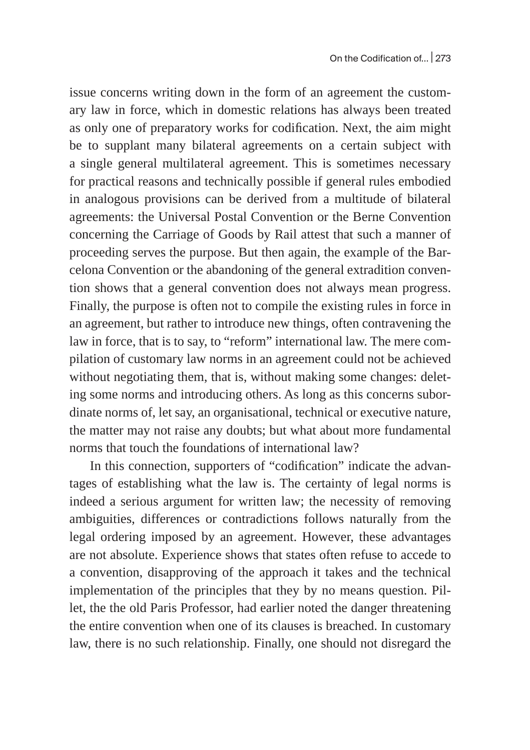issue concerns writing down in the form of an agreement the customary law in force, which in domestic relations has always been treated as only one of preparatory works for codification. Next, the aim might be to supplant many bilateral agreements on a certain subject with a single general multilateral agreement. This is sometimes necessary for practical reasons and technically possible if general rules embodied in analogous provisions can be derived from a multitude of bilateral agreements: the Universal Postal Convention or the Berne Convention concerning the Carriage of Goods by Rail attest that such a manner of proceeding serves the purpose. But then again, the example of the Barcelona Convention or the abandoning of the general extradition convention shows that a general convention does not always mean progress. Finally, the purpose is often not to compile the existing rules in force in an agreement, but rather to introduce new things, often contravening the law in force, that is to say, to "reform" international law. The mere compilation of customary law norms in an agreement could not be achieved without negotiating them, that is, without making some changes: deleting some norms and introducing others. As long as this concerns subordinate norms of, let say, an organisational, technical or executive nature, the matter may not raise any doubts; but what about more fundamental norms that touch the foundations of international law?

In this connection, supporters of "codification" indicate the advantages of establishing what the law is. The certainty of legal norms is indeed a serious argument for written law; the necessity of removing ambiguities, differences or contradictions follows naturally from the legal ordering imposed by an agreement. However, these advantages are not absolute. Experience shows that states often refuse to accede to a convention, disapproving of the approach it takes and the technical implementation of the principles that they by no means question. Pillet, the the old Paris Professor, had earlier noted the danger threatening the entire convention when one of its clauses is breached. In customary law, there is no such relationship. Finally, one should not disregard the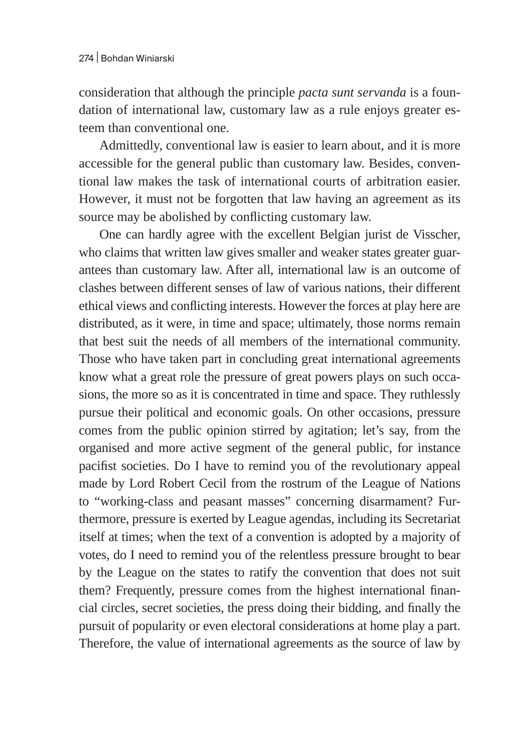consideration that although the principle *pacta sunt servanda* is a foundation of international law, customary law as a rule enjoys greater esteem than conventional one.

Admittedly, conventional law is easier to learn about, and it is more accessible for the general public than customary law. Besides, conventional law makes the task of international courts of arbitration easier. However, it must not be forgotten that law having an agreement as its source may be abolished by conflicting customary law.

One can hardly agree with the excellent Belgian jurist de Visscher, who claims that written law gives smaller and weaker states greater guarantees than customary law. After all, international law is an outcome of clashes between different senses of law of various nations, their different ethical views and conflicting interests. However the forces at play here are distributed, as it were, in time and space; ultimately, those norms remain that best suit the needs of all members of the international community. Those who have taken part in concluding great international agreements know what a great role the pressure of great powers plays on such occasions, the more so as it is concentrated in time and space. They ruthlessly pursue their political and economic goals. On other occasions, pressure comes from the public opinion stirred by agitation; let's say, from the organised and more active segment of the general public, for instance pacifist societies. Do I have to remind you of the revolutionary appeal made by Lord Robert Cecil from the rostrum of the League of Nations to "working-class and peasant masses" concerning disarmament? Furthermore, pressure is exerted by League agendas, including its Secretariat itself at times; when the text of a convention is adopted by a majority of votes, do I need to remind you of the relentless pressure brought to bear by the League on the states to ratify the convention that does not suit them? Frequently, pressure comes from the highest international financial circles, secret societies, the press doing their bidding, and finally the pursuit of popularity or even electoral considerations at home play a part. Therefore, the value of international agreements as the source of law by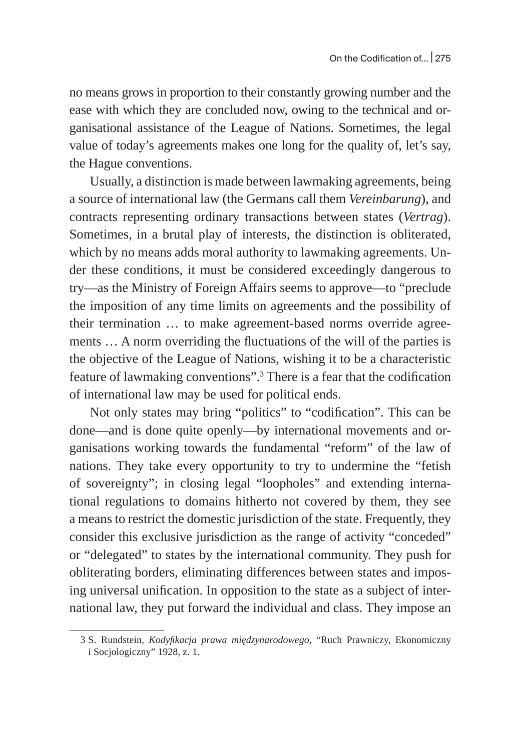no means grows in proportion to their constantly growing number and the ease with which they are concluded now, owing to the technical and organisational assistance of the League of Nations. Sometimes, the legal value of today's agreements makes one long for the quality of, let's say, the Hague conventions.

Usually, a distinction is made between lawmaking agreements, being a source of international law (the Germans call them *Vereinbarung*), and contracts representing ordinary transactions between states (*Vertrag*). Sometimes, in a brutal play of interests, the distinction is obliterated, which by no means adds moral authority to lawmaking agreements. Under these conditions, it must be considered exceedingly dangerous to try—as the Ministry of Foreign Affairs seems to approve—to "preclude the imposition of any time limits on agreements and the possibility of their termination … to make agreement-based norms override agreements … A norm overriding the fluctuations of the will of the parties is the objective of the League of Nations, wishing it to be a characteristic feature of lawmaking conventions".<sup>3</sup> There is a fear that the codification of international law may be used for political ends.

Not only states may bring "politics" to "codification". This can be done—and is done quite openly—by international movements and organisations working towards the fundamental "reform" of the law of nations. They take every opportunity to try to undermine the "fetish of sovereignty"; in closing legal "loopholes" and extending international regulations to domains hitherto not covered by them, they see a means to restrict the domestic jurisdiction of the state. Frequently, they consider this exclusive jurisdiction as the range of activity "conceded" or "delegated" to states by the international community. They push for obliterating borders, eliminating differences between states and imposing universal unification. In opposition to the state as a subject of international law, they put forward the individual and class. They impose an

<sup>3</sup> S. Rundstein, *Kodyfikacja prawa międzynarodowego*, "Ruch Prawniczy, Ekonomiczny i Socjologiczny" 1928, z. 1.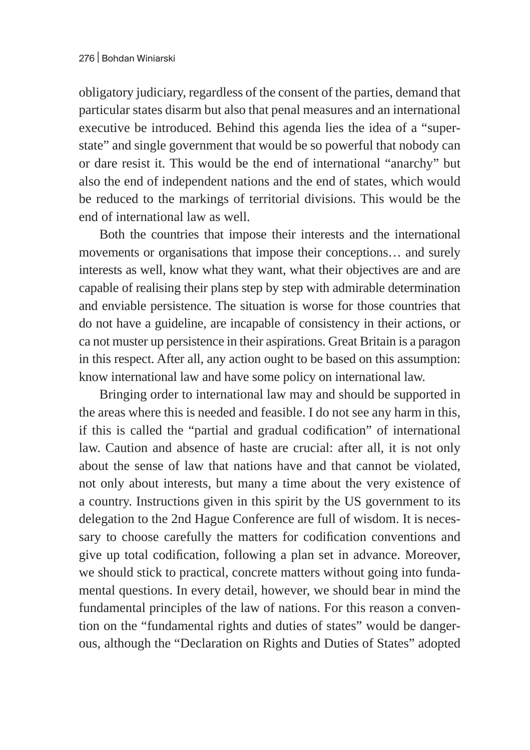obligatory judiciary, regardless of the consent of the parties, demand that particular states disarm but also that penal measures and an international executive be introduced. Behind this agenda lies the idea of a "superstate" and single government that would be so powerful that nobody can or dare resist it. This would be the end of international "anarchy" but also the end of independent nations and the end of states, which would be reduced to the markings of territorial divisions. This would be the end of international law as well.

Both the countries that impose their interests and the international movements or organisations that impose their conceptions… and surely interests as well, know what they want, what their objectives are and are capable of realising their plans step by step with admirable determination and enviable persistence. The situation is worse for those countries that do not have a guideline, are incapable of consistency in their actions, or ca not muster up persistence in their aspirations. Great Britain is a paragon in this respect. After all, any action ought to be based on this assumption: know international law and have some policy on international law.

Bringing order to international law may and should be supported in the areas where this is needed and feasible. I do not see any harm in this, if this is called the "partial and gradual codification" of international law. Caution and absence of haste are crucial: after all, it is not only about the sense of law that nations have and that cannot be violated, not only about interests, but many a time about the very existence of a country. Instructions given in this spirit by the US government to its delegation to the 2nd Hague Conference are full of wisdom. It is necessary to choose carefully the matters for codification conventions and give up total codification, following a plan set in advance. Moreover, we should stick to practical, concrete matters without going into fundamental questions. In every detail, however, we should bear in mind the fundamental principles of the law of nations. For this reason a convention on the "fundamental rights and duties of states" would be dangerous, although the "Declaration on Rights and Duties of States" adopted